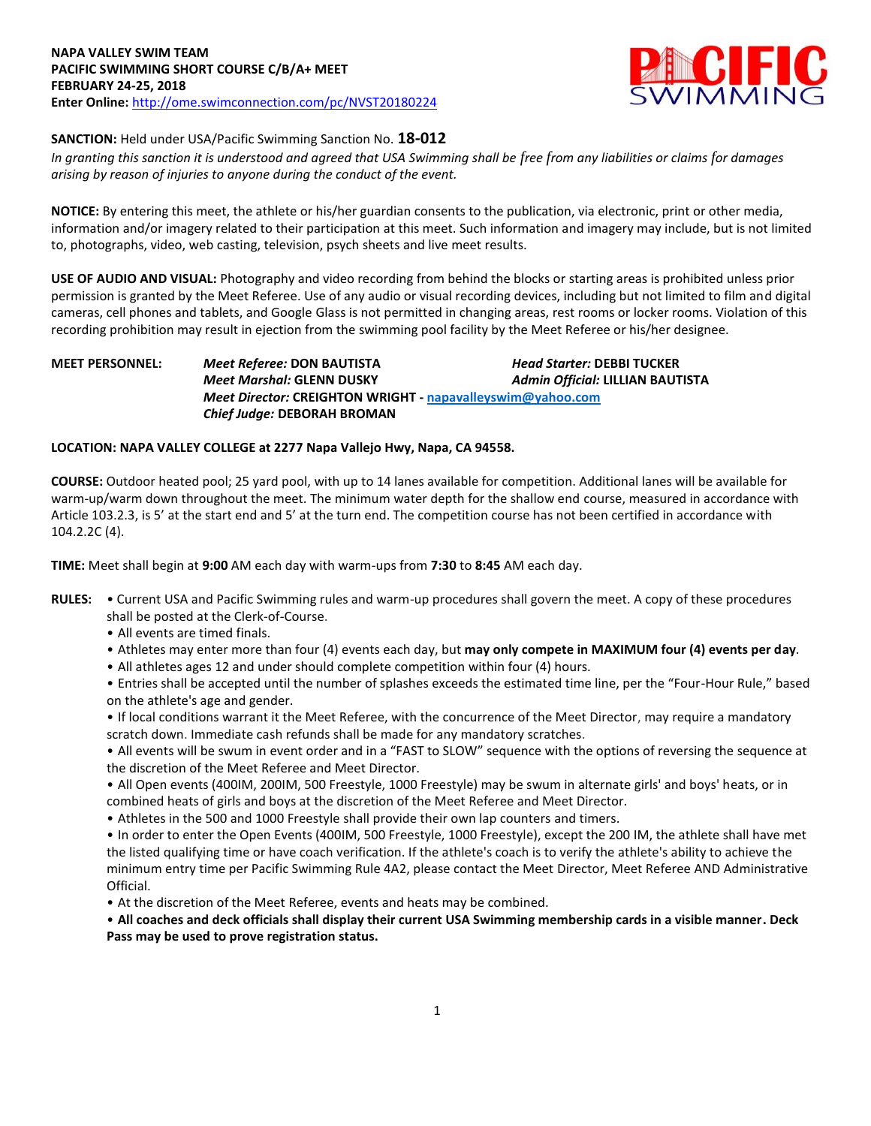

# **SANCTION:** Held under USA/Pacific Swimming Sanction No. **18-012**

*In granting this sanction it is understood and agreed that USA Swimming shall be free from any liabilities or claims for damages arising by reason of injuries to anyone during the conduct of the event.*

**NOTICE:** By entering this meet, the athlete or his/her guardian consents to the publication, via electronic, print or other media, information and/or imagery related to their participation at this meet. Such information and imagery may include, but is not limited to, photographs, video, web casting, television, psych sheets and live meet results.

**USE OF AUDIO AND VISUAL:** Photography and video recording from behind the blocks or starting areas is prohibited unless prior permission is granted by the Meet Referee. Use of any audio or visual recording devices, including but not limited to film and digital cameras, cell phones and tablets, and Google Glass is not permitted in changing areas, rest rooms or locker rooms. Violation of this recording prohibition may result in ejection from the swimming pool facility by the Meet Referee or his/her designee.

**MEET PERSONNEL:** *Meet Referee:* **DON BAUTISTA** *Head Starter:* **DEBBI TUCKER** *Meet Marshal:* **GLENN DUSKY** *Admin Official:* **LILLIAN BAUTISTA** *Meet Director:* **CREIGHTON WRIGHT - [napavalleyswim@yahoo.com](mailto:napavalleyswim@yahoo.com)** *Chief Judge:* **DEBORAH BROMAN**

## **LOCATION: NAPA VALLEY COLLEGE at 2277 Napa Vallejo Hwy, Napa, CA 94558.**

**COURSE:** Outdoor heated pool; 25 yard pool, with up to 14 lanes available for competition. Additional lanes will be available for warm-up/warm down throughout the meet. The minimum water depth for the shallow end course, measured in accordance with Article 103.2.3, is 5' at the start end and 5' at the turn end. The competition course has not been certified in accordance with 104.2.2C (4).

**TIME:** Meet shall begin at **9:00** AM each day with warm-ups from **7:30** to **8:45** AM each day.

- **RULES:**  Current USA and Pacific Swimming rules and warm-up procedures shall govern the meet. A copy of these procedures shall be posted at the Clerk-of-Course.
	- All events are timed finals.
	- Athletes may enter more than four (4) events each day, but **may only compete in MAXIMUM four (4) events per day**.
	- All athletes ages 12 and under should complete competition within four (4) hours.

• Entries shall be accepted until the number of splashes exceeds the estimated time line, per the "Four-Hour Rule," based on the athlete's age and gender.

• If local conditions warrant it the Meet Referee, with the concurrence of the Meet Director, may require a mandatory scratch down. Immediate cash refunds shall be made for any mandatory scratches.

• All events will be swum in event order and in a "FAST to SLOW" sequence with the options of reversing the sequence at the discretion of the Meet Referee and Meet Director.

- All Open events (400IM, 200IM, 500 Freestyle, 1000 Freestyle) may be swum in alternate girls' and boys' heats, or in combined heats of girls and boys at the discretion of the Meet Referee and Meet Director.
- Athletes in the 500 and 1000 Freestyle shall provide their own lap counters and timers.

• In order to enter the Open Events (400IM, 500 Freestyle, 1000 Freestyle), except the 200 IM, the athlete shall have met the listed qualifying time or have coach verification. If the athlete's coach is to verify the athlete's ability to achieve the minimum entry time per Pacific Swimming Rule 4A2, please contact the Meet Director, Meet Referee AND Administrative Official.

• At the discretion of the Meet Referee, events and heats may be combined.

• **All coaches and deck officials shall display their current USA Swimming membership cards in a visible manner. Deck Pass may be used to prove registration status.**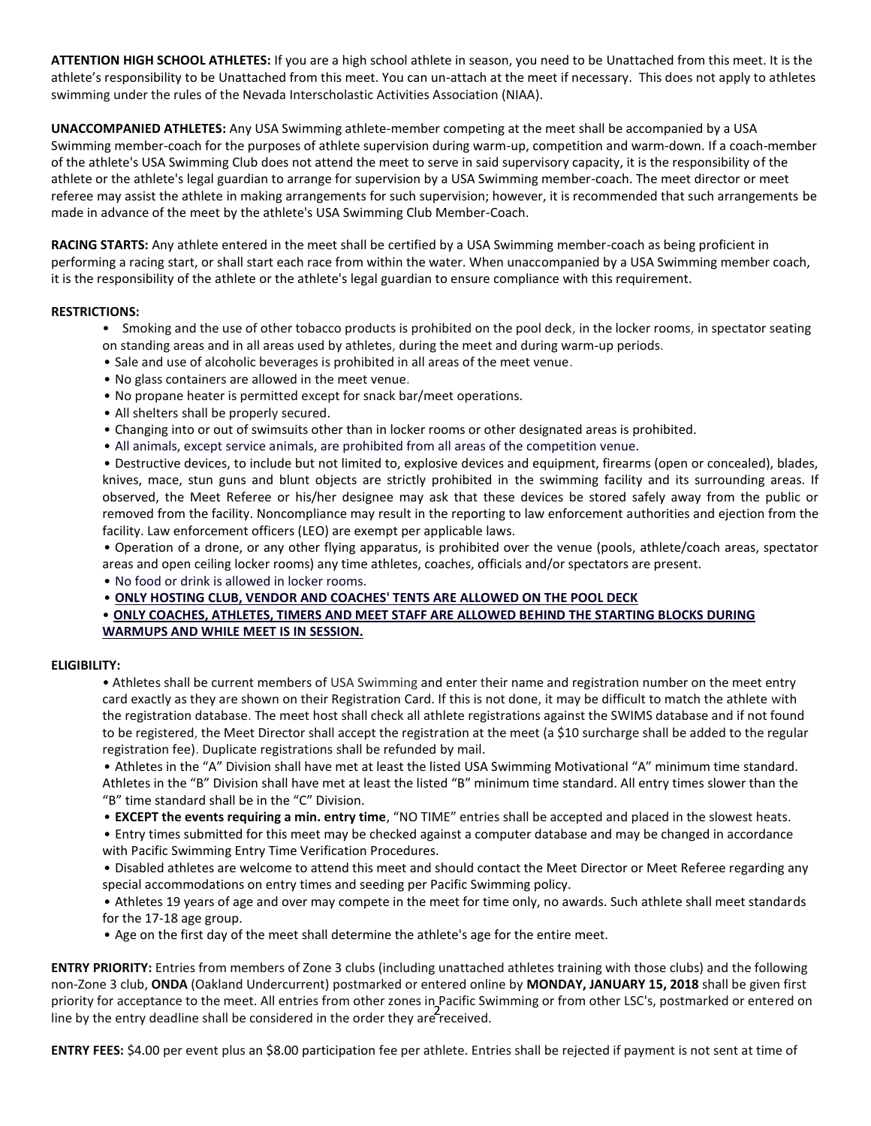**ATTENTION HIGH SCHOOL ATHLETES:** If you are a high school athlete in season, you need to be Unattached from this meet. It is the athlete's responsibility to be Unattached from this meet. You can un-attach at the meet if necessary. This does not apply to athletes swimming under the rules of the Nevada Interscholastic Activities Association (NIAA).

**UNACCOMPANIED ATHLETES:** Any USA Swimming athlete-member competing at the meet shall be accompanied by a USA Swimming member-coach for the purposes of athlete supervision during warm-up, competition and warm-down. If a coach-member of the athlete's USA Swimming Club does not attend the meet to serve in said supervisory capacity, it is the responsibility of the athlete or the athlete's legal guardian to arrange for supervision by a USA Swimming member-coach. The meet director or meet referee may assist the athlete in making arrangements for such supervision; however, it is recommended that such arrangements be made in advance of the meet by the athlete's USA Swimming Club Member-Coach.

**RACING STARTS:** Any athlete entered in the meet shall be certified by a USA Swimming member-coach as being proficient in performing a racing start, or shall start each race from within the water. When unaccompanied by a USA Swimming member coach, it is the responsibility of the athlete or the athlete's legal guardian to ensure compliance with this requirement.

#### **RESTRICTIONS:**

- Smoking and the use of other tobacco products is prohibited on the pool deck, in the locker rooms, in spectator seating on standing areas and in all areas used by athletes, during the meet and during warm-up periods.
- Sale and use of alcoholic beverages is prohibited in all areas of the meet venue.
- No glass containers are allowed in the meet venue.
- No propane heater is permitted except for snack bar/meet operations.
- All shelters shall be properly secured.
- Changing into or out of swimsuits other than in locker rooms or other designated areas is prohibited.
- All animals, except service animals, are prohibited from all areas of the competition venue.

• Destructive devices, to include but not limited to, explosive devices and equipment, firearms (open or concealed), blades, knives, mace, stun guns and blunt objects are strictly prohibited in the swimming facility and its surrounding areas. If observed, the Meet Referee or his/her designee may ask that these devices be stored safely away from the public or removed from the facility. Noncompliance may result in the reporting to law enforcement authorities and ejection from the facility. Law enforcement officers (LEO) are exempt per applicable laws.

• Operation of a drone, or any other flying apparatus, is prohibited over the venue (pools, athlete/coach areas, spectator areas and open ceiling locker rooms) any time athletes, coaches, officials and/or spectators are present.

• No food or drink is allowed in locker rooms.

• **ONLY HOSTING CLUB, VENDOR AND COACHES' TENTS ARE ALLOWED ON THE POOL DECK**

# • **ONLY COACHES, ATHLETES, TIMERS AND MEET STAFF ARE ALLOWED BEHIND THE STARTING BLOCKS DURING WARMUPS AND WHILE MEET IS IN SESSION.**

## **ELIGIBILITY:**

• Athletes shall be current members of USA Swimming and enter their name and registration number on the meet entry card exactly as they are shown on their Registration Card. If this is not done, it may be difficult to match the athlete with the registration database. The meet host shall check all athlete registrations against the SWIMS database and if not found to be registered, the Meet Director shall accept the registration at the meet (a \$10 surcharge shall be added to the regular registration fee). Duplicate registrations shall be refunded by mail.

• Athletes in the "A" Division shall have met at least the listed USA Swimming Motivational "A" minimum time standard. Athletes in the "B" Division shall have met at least the listed "B" minimum time standard. All entry times slower than the "B" time standard shall be in the "C" Division.

• **EXCEPT the events requiring a min. entry time**, "NO TIME" entries shall be accepted and placed in the slowest heats.

• Entry times submitted for this meet may be checked against a computer database and may be changed in accordance with Pacific Swimming Entry Time Verification Procedures.

• Disabled athletes are welcome to attend this meet and should contact the Meet Director or Meet Referee regarding any special accommodations on entry times and seeding per Pacific Swimming policy.

• Athletes 19 years of age and over may compete in the meet for time only, no awards. Such athlete shall meet standards for the 17-18 age group.

• Age on the first day of the meet shall determine the athlete's age for the entire meet.

Friendy for deceptance to the meet. All entries homeoner tends in a democratic summer. **ENTRY PRIORITY:** Entries from members of Zone 3 clubs (including unattached athletes training with those clubs) and the following non-Zone 3 club, **ONDA** (Oakland Undercurrent) postmarked or entered online by **MONDAY, JANUARY 15, 2018** shall be given first priority for acceptance to the meet. All entries from other zones in Pacific Swimming or from other LSC's, postmarked or entered on

**ENTRY FEES:** \$4.00 per event plus an \$8.00 participation fee per athlete. Entries shall be rejected if payment is not sent at time of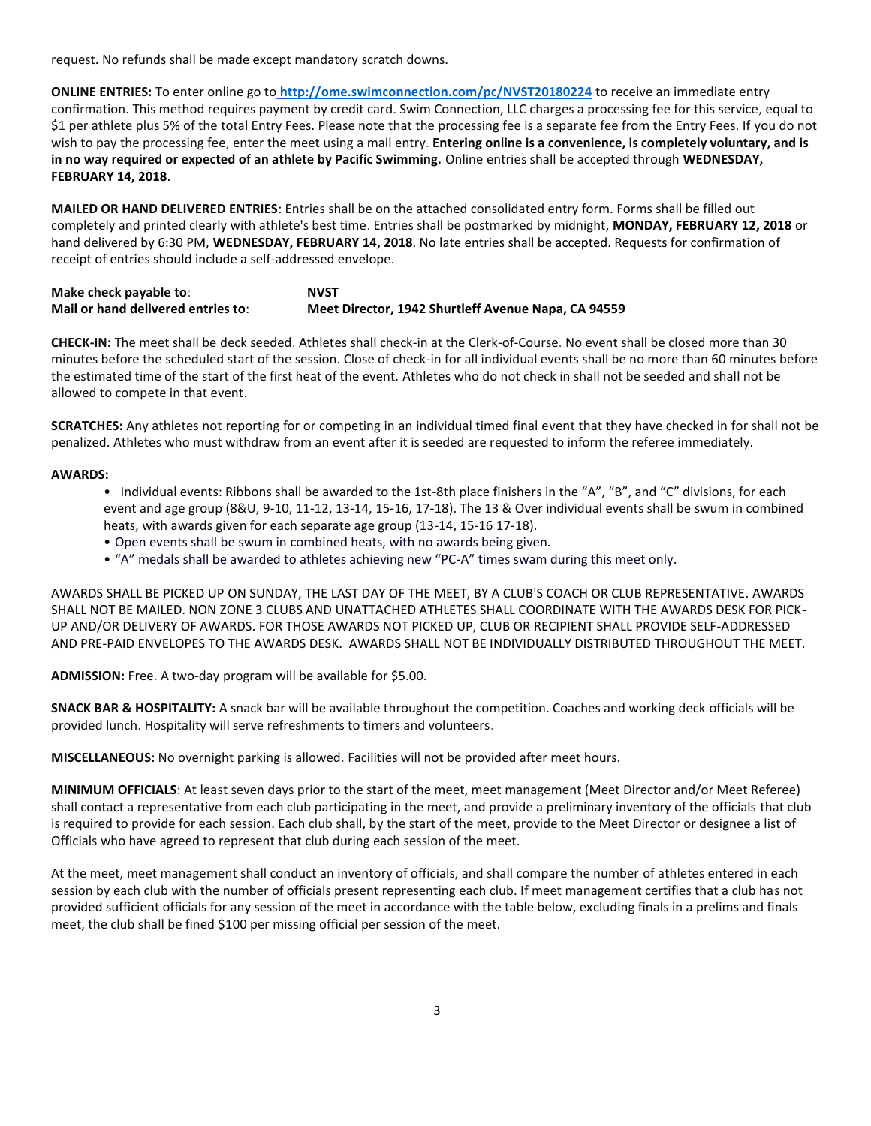request. No refunds shall be made except mandatory scratch downs.

**ONLINE ENTRIES:** To enter online go to **<http://ome.swimconnection.com/pc/NVST20180224>** to receive an immediate entry confirmation. This method requires payment by credit card. Swim Connection, LLC charges a processing fee for this service, equal to \$1 per athlete plus 5% of the total Entry Fees. Please note that the processing fee is a separate fee from the Entry Fees. If you do not wish to pay the processing fee, enter the meet using a mail entry. **Entering online is a convenience, is completely voluntary, and is in no way required or expected of an athlete by Pacific Swimming.** Online entries shall be accepted through **WEDNESDAY, FEBRUARY 14, 2018**.

**MAILED OR HAND DELIVERED ENTRIES**: Entries shall be on the attached consolidated entry form. Forms shall be filled out completely and printed clearly with athlete's best time. Entries shall be postmarked by midnight, **MONDAY, FEBRUARY 12, 2018** or hand delivered by 6:30 PM, **WEDNESDAY, FEBRUARY 14, 2018**. No late entries shall be accepted. Requests for confirmation of receipt of entries should include a self-addressed envelope.

## **Make check payable to: NVST Mail or hand delivered entries to**: **Meet Director, 1942 Shurtleff Avenue Napa, CA 94559**

**CHECK-IN:** The meet shall be deck seeded. Athletes shall check-in at the Clerk-of-Course. No event shall be closed more than 30 minutes before the scheduled start of the session. Close of check-in for all individual events shall be no more than 60 minutes before the estimated time of the start of the first heat of the event. Athletes who do not check in shall not be seeded and shall not be allowed to compete in that event.

**SCRATCHES:** Any athletes not reporting for or competing in an individual timed final event that they have checked in for shall not be penalized. Athletes who must withdraw from an event after it is seeded are requested to inform the referee immediately.

#### **AWARDS:**

- Individual events: Ribbons shall be awarded to the 1st-8th place finishers in the "A", "B", and "C" divisions, for each event and age group (8&U, 9-10, 11-12, 13-14, 15-16, 17-18). The 13 & Over individual events shall be swum in combined heats, with awards given for each separate age group (13-14, 15-16 17-18).
- Open events shall be swum in combined heats, with no awards being given.
- "A" medals shall be awarded to athletes achieving new "PC-A" times swam during this meet only.

AWARDS SHALL BE PICKED UP ON SUNDAY, THE LAST DAY OF THE MEET, BY A CLUB'S COACH OR CLUB REPRESENTATIVE. AWARDS SHALL NOT BE MAILED. NON ZONE 3 CLUBS AND UNATTACHED ATHLETES SHALL COORDINATE WITH THE AWARDS DESK FOR PICK-UP AND/OR DELIVERY OF AWARDS. FOR THOSE AWARDS NOT PICKED UP, CLUB OR RECIPIENT SHALL PROVIDE SELF-ADDRESSED AND PRE-PAID ENVELOPES TO THE AWARDS DESK. AWARDS SHALL NOT BE INDIVIDUALLY DISTRIBUTED THROUGHOUT THE MEET.

**ADMISSION:** Free. A two-day program will be available for \$5.00.

**SNACK BAR & HOSPITALITY:** A snack bar will be available throughout the competition. Coaches and working deck officials will be provided lunch. Hospitality will serve refreshments to timers and volunteers.

**MISCELLANEOUS:** No overnight parking is allowed. Facilities will not be provided after meet hours.

**MINIMUM OFFICIALS**: At least seven days prior to the start of the meet, meet management (Meet Director and/or Meet Referee) shall contact a representative from each club participating in the meet, and provide a preliminary inventory of the officials that club is required to provide for each session. Each club shall, by the start of the meet, provide to the Meet Director or designee a list of Officials who have agreed to represent that club during each session of the meet.

At the meet, meet management shall conduct an inventory of officials, and shall compare the number of athletes entered in each session by each club with the number of officials present representing each club. If meet management certifies that a club has not provided sufficient officials for any session of the meet in accordance with the table below, excluding finals in a prelims and finals meet, the club shall be fined \$100 per missing official per session of the meet.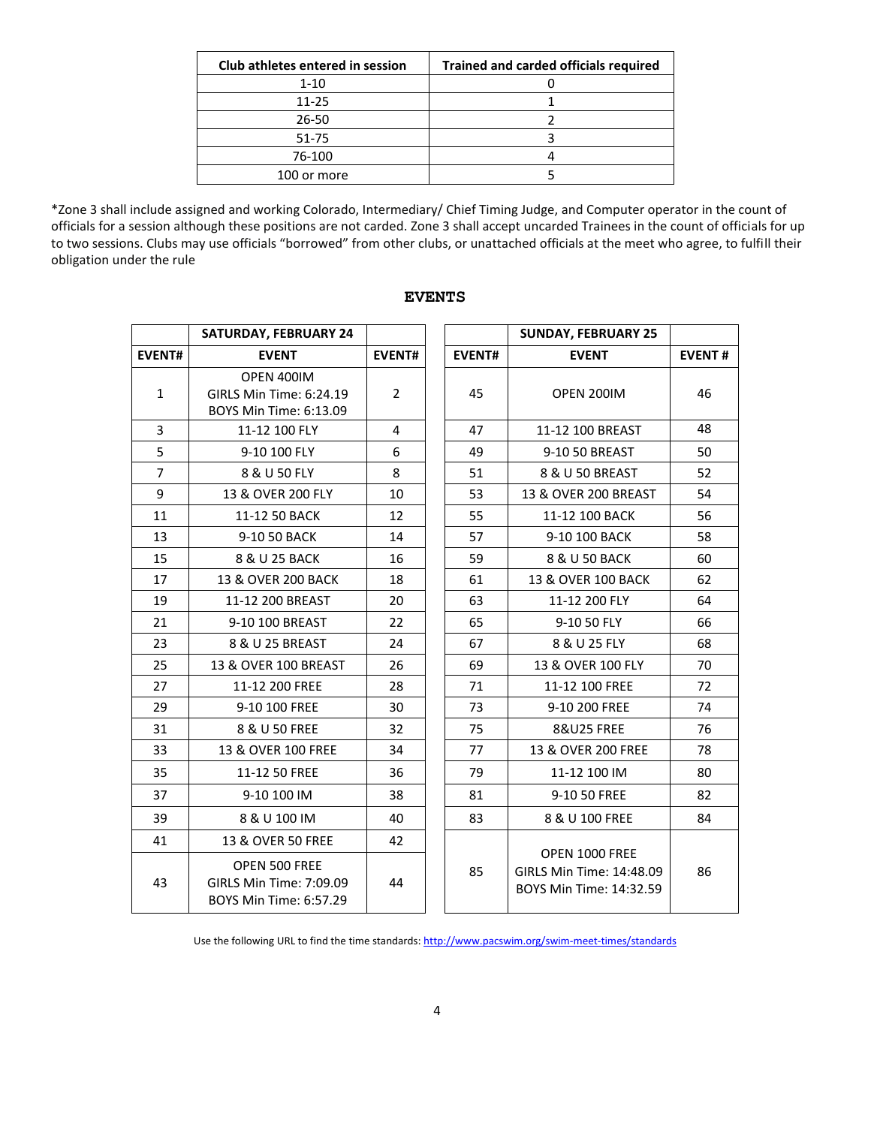| Club athletes entered in session | <b>Trained and carded officials required</b> |
|----------------------------------|----------------------------------------------|
| $1 - 10$                         |                                              |
| 11-25                            |                                              |
| 26-50                            |                                              |
| 51-75                            |                                              |
| 76-100                           |                                              |
| 100 or more                      |                                              |

\*Zone 3 shall include assigned and working Colorado, Intermediary/ Chief Timing Judge, and Computer operator in the count of officials for a session although these positions are not carded. Zone 3 shall accept uncarded Trainees in the count of officials for up to two sessions. Clubs may use officials "borrowed" from other clubs, or unattached officials at the meet who agree, to fulfill their obligation under the rule

|                | <b>SATURDAY, FEBRUARY 24</b>                                       |                |               | <b>SUNDAY, FEBRUARY 25</b>                                            |               |
|----------------|--------------------------------------------------------------------|----------------|---------------|-----------------------------------------------------------------------|---------------|
| <b>EVENT#</b>  | <b>EVENT</b>                                                       | <b>EVENT#</b>  | <b>EVENT#</b> | <b>EVENT</b>                                                          | <b>EVENT#</b> |
| $\mathbf{1}$   | OPEN 400IM<br>GIRLS Min Time: 6:24.19<br>BOYS Min Time: 6:13.09    | $\overline{2}$ | 45            | OPEN 200IM                                                            | 46            |
| 3              | 11-12 100 FLY                                                      | 4              | 47            | 11-12 100 BREAST                                                      | 48            |
| 5              | 9-10 100 FLY                                                       | 6              | 49            | 9-10 50 BREAST                                                        | 50            |
| $\overline{7}$ | 8 & U 50 FLY                                                       | 8              | 51            | 8 & U 50 BREAST                                                       | 52            |
| 9              | 13 & OVER 200 FLY                                                  | 10             | 53            | 13 & OVER 200 BREAST                                                  | 54            |
| 11             | 11-12 50 BACK                                                      | 12             | 55            | 11-12 100 BACK                                                        | 56            |
| 13             | 9-10 50 BACK                                                       | 14             | 57            | 9-10 100 BACK                                                         | 58            |
| 15             | 8 & U 25 BACK                                                      | 16             | 59            | 8 & U 50 BACK                                                         | 60            |
| 17             | 13 & OVER 200 BACK                                                 | 18             | 61            | 13 & OVER 100 BACK                                                    | 62            |
| 19             | 11-12 200 BREAST                                                   | 20             | 63            | 11-12 200 FLY                                                         | 64            |
| 21             | 9-10 100 BREAST                                                    | 22             | 65            | 9-10 50 FLY                                                           | 66            |
| 23             | 8 & U 25 BREAST                                                    | 24             | 67            | 8 & U 25 FLY                                                          | 68            |
| 25             | 13 & OVER 100 BREAST                                               | 26             | 69            | 13 & OVER 100 FLY                                                     | 70            |
| 27             | 11-12 200 FREE                                                     | 28             | 71            | 11-12 100 FREE                                                        | 72            |
| 29             | 9-10 100 FREE                                                      | 30             | 73            | 9-10 200 FREE                                                         | 74            |
| 31             | 8 & U 50 FREE                                                      | 32             | 75            | <b>8&amp;U25 FREE</b>                                                 | 76            |
| 33             | 13 & OVER 100 FREE                                                 | 34             | 77            | 13 & OVER 200 FREE                                                    | 78            |
| 35             | 11-12 50 FREE                                                      | 36             | 79            | 11-12 100 IM                                                          | 80            |
| 37             | 9-10 100 IM                                                        | 38             | 81            | 9-10 50 FREE                                                          | 82            |
| 39             | 8 & U 100 IM                                                       | 40             | 83            | 8 & U 100 FREE                                                        | 84            |
| 41             | 13 & OVER 50 FREE                                                  | 42             |               |                                                                       |               |
| 43             | OPEN 500 FREE<br>GIRLS Min Time: 7:09.09<br>BOYS Min Time: 6:57.29 | 44             | 85            | OPEN 1000 FREE<br>GIRLS Min Time: 14:48.09<br>BOYS Min Time: 14:32.59 | 86            |

#### **EVENTS**

Use the following URL to find the time standards: <http://www.pacswim.org/swim-meet-times/standards>